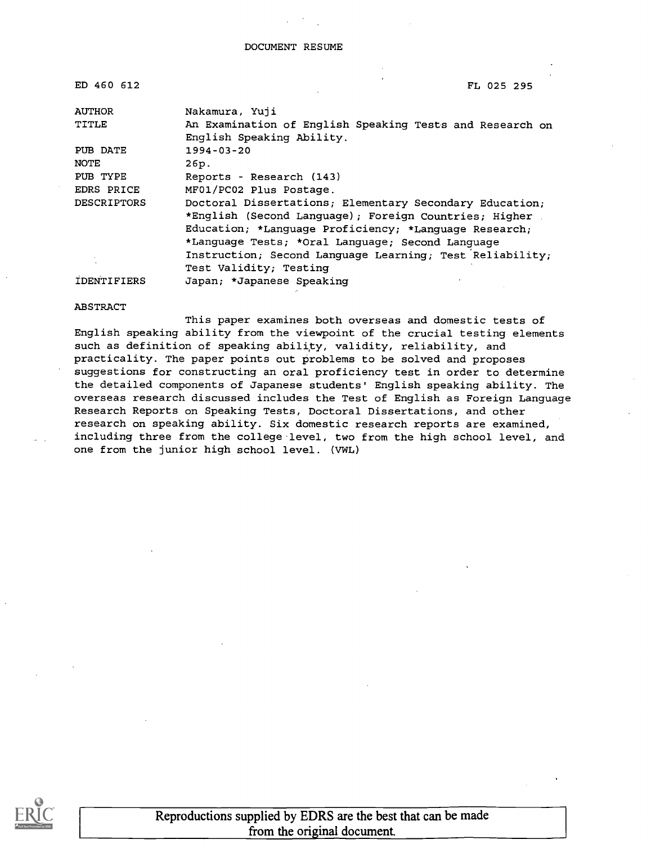| ED 460 612         | FL 025 295                                                                                                                                                                                                                    |  |
|--------------------|-------------------------------------------------------------------------------------------------------------------------------------------------------------------------------------------------------------------------------|--|
| <b>AUTHOR</b>      | Nakamura, Yuji                                                                                                                                                                                                                |  |
| TITLE              | An Examination of English Speaking Tests and Research on<br>English Speaking Ability.                                                                                                                                         |  |
| PUB DATE           | $1994 - 03 - 20$                                                                                                                                                                                                              |  |
| <b>NOTE</b>        | 26p.                                                                                                                                                                                                                          |  |
| PUB TYPE           | Reports - Research (143)                                                                                                                                                                                                      |  |
| EDRS PRICE         | MF01/PC02 Plus Postage.                                                                                                                                                                                                       |  |
| <b>DESCRIPTORS</b> | Doctoral Dissertations; Elementary Secondary Education;<br>*English (Second Language); Foreign Countries; Higher<br>Education; *Language Proficiency; *Language Research;<br>*Language Tests; *Oral Language; Second Language |  |
|                    | Instruction; Second Language Learning; Test Reliability;                                                                                                                                                                      |  |
|                    | Test Validity; Testing                                                                                                                                                                                                        |  |
| <b>IDENTIFIERS</b> | Japan; *Japanese Speaking                                                                                                                                                                                                     |  |

#### ABSTRACT

This paper examines both overseas and domestic tests of English speaking ability from the viewpoint of the crucial testing elements such as definition of speaking ability, validity, reliability, and practicality. The paper points out problems to be solved and proposes suggestions for constructing an oral proficiency test in order to determine the detailed components of Japanese students' English speaking ability. The overseas research discussed includes the Test of English as Foreign Language Research Reports on Speaking Tests, Doctoral Dissertations, and other research on speaking ability. Six domestic research reports are examined, including three from the college level, two from the high school level, and one from the junior high school level. (VWL)



Reproductions supplied by EDRS are the best that can be made from the original document.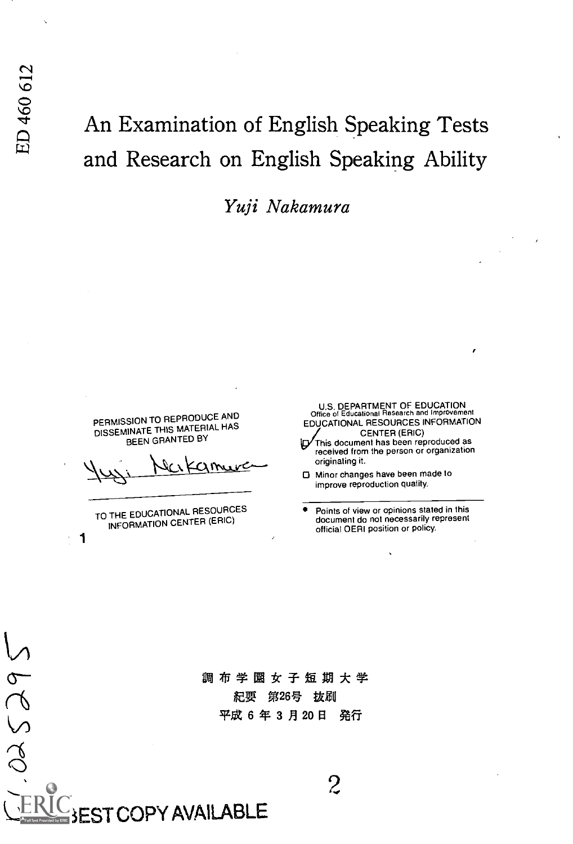Yuji Nakamura

PERMISSION TO REPRODUCE AND DISSEMINATE THIS MATERIAL HAS BEEN GRANTED BY

512<br>-

 $\alpha$ 

TO THE EDUCATIONAL RESOURCES INFORMATION CENTER (ERIC)

COPY AVAILABLE

1

U.S. DEPARTMENT OF EDUCATION Office of Educational Research and Improvement EDUCATIONAL RESOURCES INFORMATION<br>CENTER (ERIC)<br>ID This document has been reproduced as

received from the person or organization originating it.

0 Minor changes have been made to improve reproduction quality.

Points of view or opinions stated in this document do not necessarily represent official OERI position or policy.

\A0 紀要 第26号 抜刷 平成 6 年 3 月 20 日 発行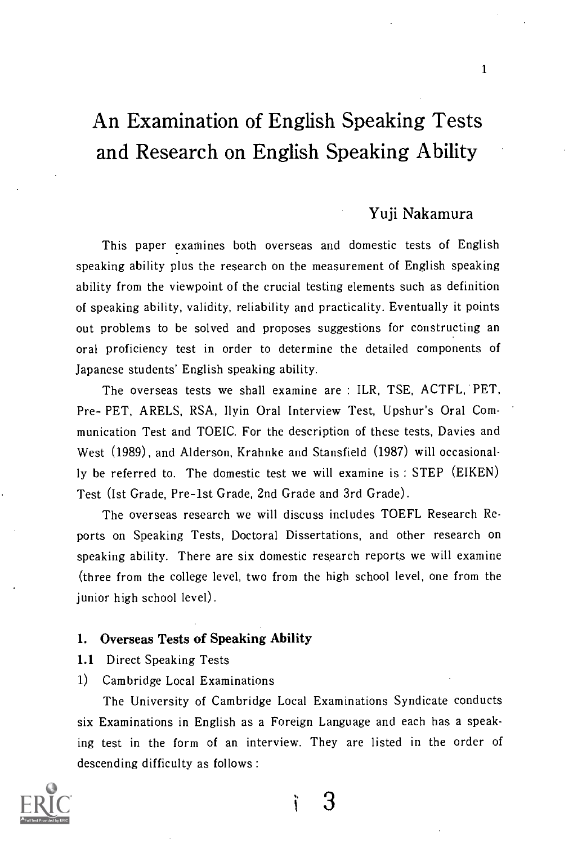### Yuji Nakamura

This paper examines both overseas and domestic tests of English speaking ability plus the research on the measurement of English speaking ability from the viewpoint of the crucial testing elements such as definition of speaking ability, validity, reliability and practicality. Eventually it points out problems to be solved and proposes suggestions for constructing an oral proficiency test in order to determine the detailed components of Japanese students' English speaking ability.

The overseas tests we shall examine are : ILR, TSE, ACTFL, PET, Pre- PET, ARELS, RSA, Ilyin Oral Interview Test, Upshur's Oral Communication Test and TOEIC. For the description of these tests, Davies and West (1989), and Alderson, Krahnke and Stansfield (1987) will occasionally be referred to. The domestic test we will examine is : STEP (EIKEN) Test (Ist Grade, Pre-lst Grade, 2nd Grade and 3rd Grade).

The overseas research we will discuss includes TOEFL Research Reports on Speaking Tests, Doctoral Dissertations, and other research on speaking ability. There are six domestic research reports we will examine (three from the college level, two from the high school level, one from the junior high school level).

#### 1. Overseas Tests of Speaking Ability

- 1.1 Direct Speaking Tests
- 1) Cambridge Local Examinations

The University of Cambridge Local Examinations Syndicate conducts six Examinations in English as a Foreign Language and each has a speaking test in the form of an interview. They are listed in the order of descending difficulty as follows :



3ì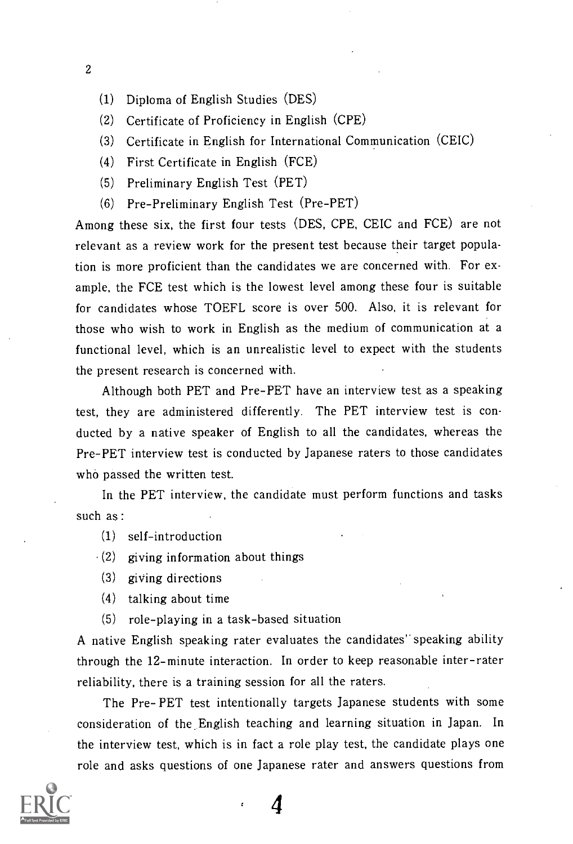- 2
	- (1) Diploma of English Studies (DES)
	- (2) Certificate of Proficiency in English (CPE)
	- (3) Certificate in English for International Communication (CEIC)
	- (4) First Certificate in English (FCE)
	- (5) Preliminary English Test (PET)
	- (6) Pre-Preliminary English Test (Pre-PET)

Among these six, the first four tests (DES, CPE, CEIC and FCE) are not relevant as a review work for the present test because their target population is more proficient than the candidates we are concerned with. For example, the FCE test which is the lowest level among these four is suitable for candidates whose TOEFL score is over 500. Also, it is relevant for those who wish to work in English as the medium of communication at a functional level, which is an unrealistic level to expect with the students the present research is concerned with.

Although both PET and Pre-PET have an interview test as a speaking test, they are administered differently. The PET interview test is conducted by a native speaker of English to all the candidates, whereas the Pre-PET interview test is conducted by Japanese raters to those candidates who passed the written test.

In the PET interview, the candidate must perform functions and tasks such as :

- (1) self-introduction
- $(2)$  giving information about things
- (3) giving directions
- (4) talking about time
- (5) role-playing in a task-based situation

A native English speaking rater evaluates the candidates' speaking ability through the 12-minute interaction. In order to keep reasonable inter-rater reliability, there is a training session for all the raters.

The Pre- PET test intentionally targets Japanese students with some consideration of the English teaching and learning situation in Japan. In the interview test, which is in fact a role play test, the candidate plays one role and asks questions of one Japanese rater and answers questions from

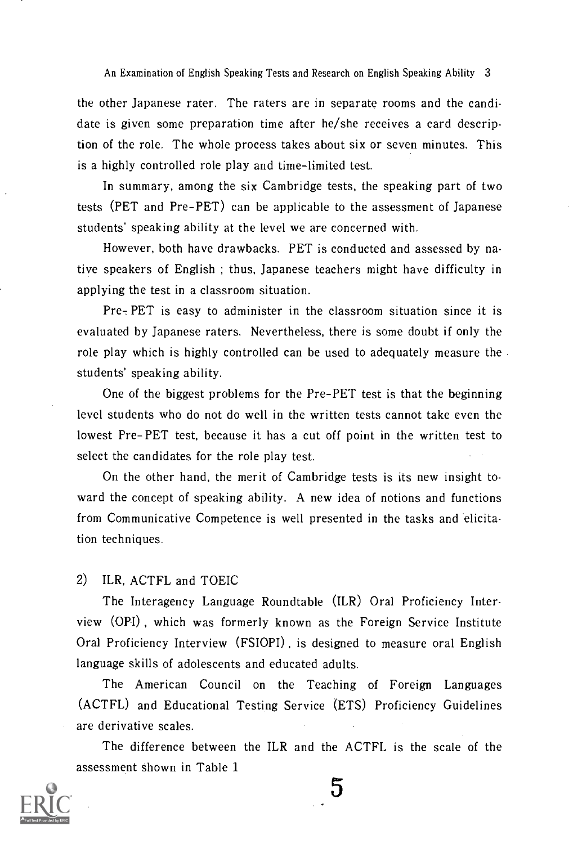the other Japanese rater. The raters are in separate rooms and the candidate is given some preparation time after he/she receives a card description of the role. The whole process takes about six or seven minutes. This is a highly controlled role play and time-limited test.

In summary, among the six Cambridge tests, the speaking part of two tests (PET and Pre-PET) can be applicable to the assessment of Japanese students' speaking ability at the level we are concerned with.

However, both have drawbacks. PET is conducted and assessed by native speakers of English ; thus, Japanese teachers might have difficulty in applying the test in a classroom situation.

 $Pre<sub>7</sub> PET$  is easy to administer in the classroom situation since it is evaluated by Japanese raters. Nevertheless, there is some doubt if only the role play which is highly controlled can be used to adequately measure the students' speaking ability.

One of the biggest problems for the Pre-PET test is that the beginning level students who do not do well in the written tests cannot take even the lowest Pre-PET test, because it has a cut off point in the written test to select the candidates for the role play test.

On the other hand, the merit of Cambridge tests is its new insight toward the concept of speaking ability. A new idea of notions and functions from Communicative Competence is well presented in the tasks and elicitation techniques.

#### 2) ILR, ACTFL and TOEIC

The Interagency Language Roundtable (ILR) Oral Proficiency Interview (OPI) , which was formerly known as the Foreign Service Institute Oral Proficiency Interview (FSIOPI) , is designed to measure oral English language skills of adolescents and educated adults.

The American Council on the Teaching of Foreign Languages (ACTFL) and Educational Testing Service (ETS) Proficiency Guidelines are derivative scales.

The difference between the ILR and the ACTFL is the scale of the assessment shown in Table 1

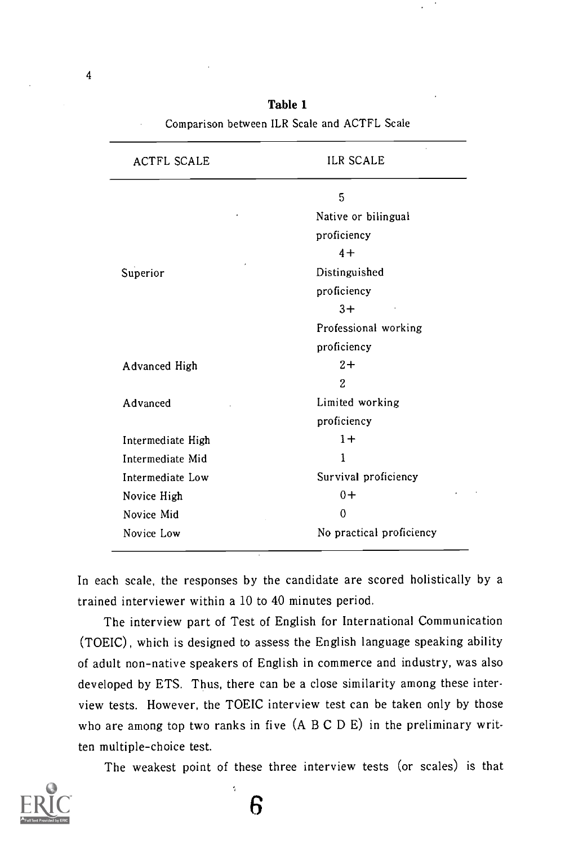| <b>ACTFL SCALE</b> | <b>ILR SCALE</b>         |
|--------------------|--------------------------|
|                    | 5                        |
|                    | Native or bilingual      |
|                    | proficiency              |
|                    | $4+$                     |
| Superior           | Distinguished            |
|                    | proficiency              |
|                    | $3+$                     |
|                    | Professional working     |
|                    | proficiency              |
| Advanced High      | $2+$                     |
|                    | 2                        |
| Advanced           | Limited working          |
|                    | proficiency              |
| Intermediate High  | $1+$                     |
| Intermediate Mid   | 1                        |
| Intermediate Low   | Survival proficiency     |
| Novice High        | $0+$                     |
| Novice Mid         | 0                        |
| Novice Low         | No practical proficiency |

Table 1 Comparison between ILR Scale and ACTFL Scale

In each scale, the responses by the candidate are scored holistically by a trained interviewer within a 10 to 40 minutes period.

The interview part of Test of English for International Communication (TOEIC), which is designed to assess the English language speaking ability of adult non-native speakers of English in commerce and industry, was also developed by ETS. Thus, there can be a close similarity among these interview tests. However, the TOEIC interview test can be taken only by those who are among top two ranks in five (A B C D E) in the preliminary written multiple-choice test.

The weakest point of these three interview tests (or scales) is that



6

 $\tilde{\mathbf{q}}$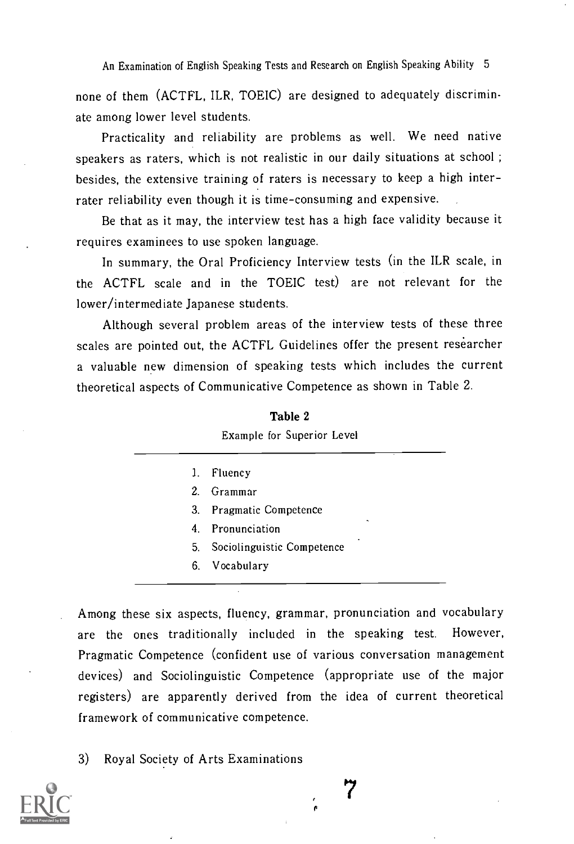none of them (ACTFL, ILR, TOEIC) are designed to adequately discriminate among lower level students.

Practicality and reliability are problems as well. We need native speakers as raters, which is not realistic in our daily situations at school ; besides, the extensive training of raters is necessary to keep a high interrater reliability even though it is time-consuming and expensive.

Be that as it may, the interview test has a high face validity because it requires examinees to use spoken language.

In summary, the Oral Proficiency Interview tests (in the ILR scale, in the ACTFL scale and in the TOEIC test) are not relevant for the lower/intermediate Japanese students.

Although several problem areas of the interview tests of these three scales are pointed out, the ACTFL Guidelines offer the present researcher a valuable new dimension of speaking tests which includes the current theoretical aspects of Communicative Competence as shown in Table 2.

| 1. | Fluency                                  |
|----|------------------------------------------|
|    | 2. Grammar                               |
|    | 3. Pragmatic Competence                  |
|    | $\ddot{\phantom{1}}$<br>4. Pronunciation |
| 5. | Sociolinguistic Competence               |
|    | 6. Vocabulary                            |

Table 2 Example for Superior Level

Among these six aspects, fluency, grammar, pronunciation and vocabulary are the ones traditionally included in the speaking test. However, Pragmatic Competence (confident use of various conversation management devices) and Sociolinguistic Competence (appropriate use of the major registers) are apparently derived from the idea of current theoretical framework of communicative competence.

3) Royal Society of Arts Examinations

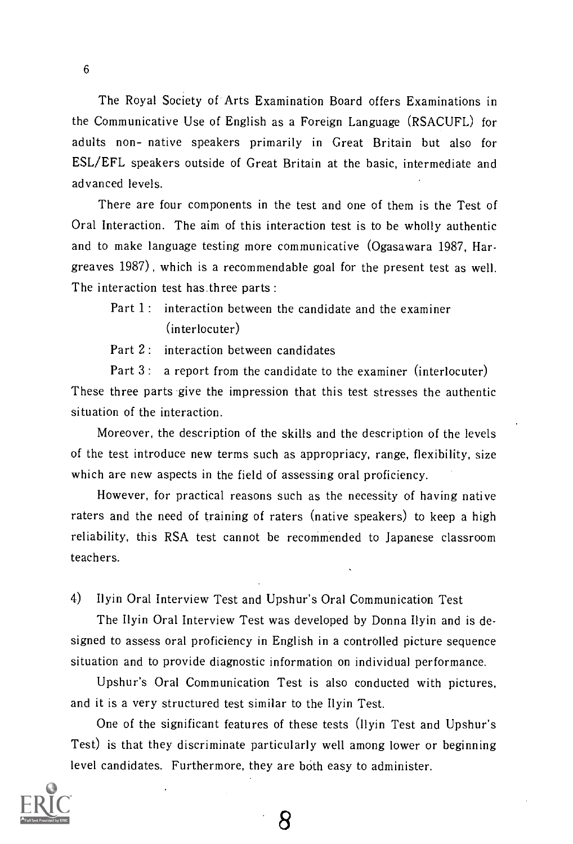The Royal Society of Arts Examination Board offers Examinations in the Communicative Use of English as a Foreign Language (RSACUFL) for adults non- native speakers primarily in Great Britain but also for ESL/EFL speakers outside of Great Britain at the basic, intermediate and advanced levels.

There are four components in the test and one of them is the Test of Oral Interaction. The aim of this interaction test is to be wholly authentic and to make language testing more communicative (Ogasawara 1987, Hargreaves 1987) , which is a recommendable goal for the present test as well. The interaction test has three parts :

### Part 1: interaction between the candidate and the examiner (interlocuter)

Part 2: interaction between candidates

Part 3: a report from the candidate to the examiner (interlocuter) These three parts give the impression that this test stresses the authentic situation of the interaction.

Moreover, the description of the skills and the description of the levels of the test introduce new terms such as appropriacy, range, flexibility, size which are new aspects in the field of assessing oral proficiency.

However, for practical reasons such as the necessity of having native raters and the need of training of raters (native speakers) to keep a high reliability, this RSA test cannot be recommended to Japanese classroom teachers.

4) Ilyin Oral Interview Test and Upshur's Oral Communication Test

The Ilyin Oral Interview Test was developed by Donna Ilyin and is designed to assess oral proficiency in English in a controlled picture sequence situation and to provide diagnostic information on individual performance.

Upshur's Oral Communication Test is also conducted with pictures, and it is a very structured test similar to the Ilyin Test.

One of the significant features of these tests (Ilyin Test and Upshur's Test) is that they discriminate particularly well among lower or beginning level candidates. Furthermore, they are both easy to administer.

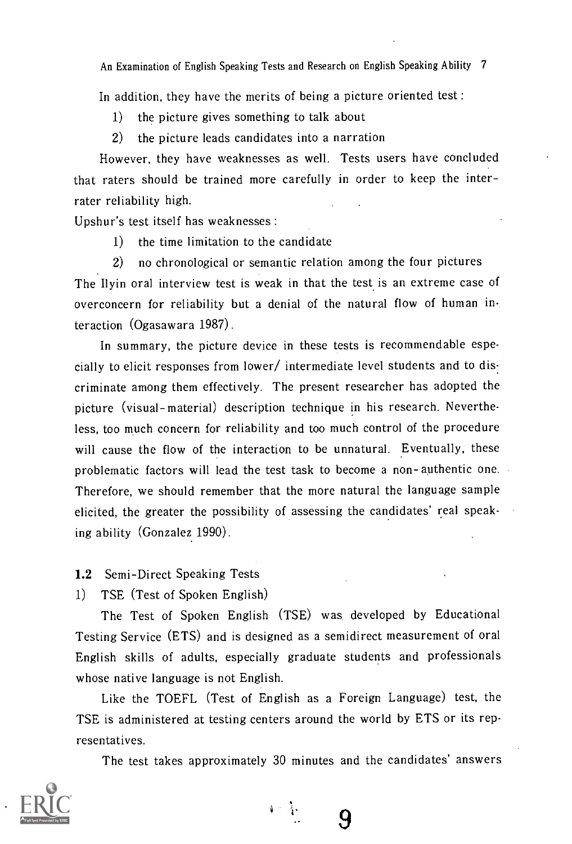In addition, they have the merits of being a picture oriented test :

- 1) the picture gives something to talk about
- 2) the picture leads candidates into a narration

However, they have weaknesses as well. Tests users have concluded that raters should be trained more carefully in order to keep the interrater reliability high.

Upshur's test itself has weaknesses :

1) the time limitation to the candidate

2) no chronological or semantic relation among the four pictures The Ilyin oral interview test is weak in that the test is an extreme case of overconcern for reliability but a denial of the natural flow of human interaction (Ogasawara 1987).

In summary, the picture device in these tests is recommendable especially to elicit responses from lower/ intermediate level students and to dis: criminate among them effectively. The present researcher has adopted the picture (visual-material) description technique in his research. Nevertheless, too much concern for reliability and too much control of the procedure will cause the flow of the interaction to be unnatural. Eventually, these problematic factors will lead the test task to become a non- authentic one. Therefore, we should remember that the more natural the language sample elicited, the greater the possibility of assessing the candidates' real speaking ability (Gonzalez 1990).

#### 1.2 Semi-Direct Speaking Tests

1) TSE (Test of Spoken English)

The Test of Spoken English (TSE) was developed by Educational Testing Service (ETS) and is designed as a semidirect measurement of oral English skills of adults, especially graduate students and professionals whose native language is not English.

Like the TOEFL (Test of English as a Foreign Language) test, the TSE is administered at testing centers around the world by ETS or its representatives.

The test takes approximately 30 minutes and the candidates' answers



 $\mathbf{V}^{\text{in}}$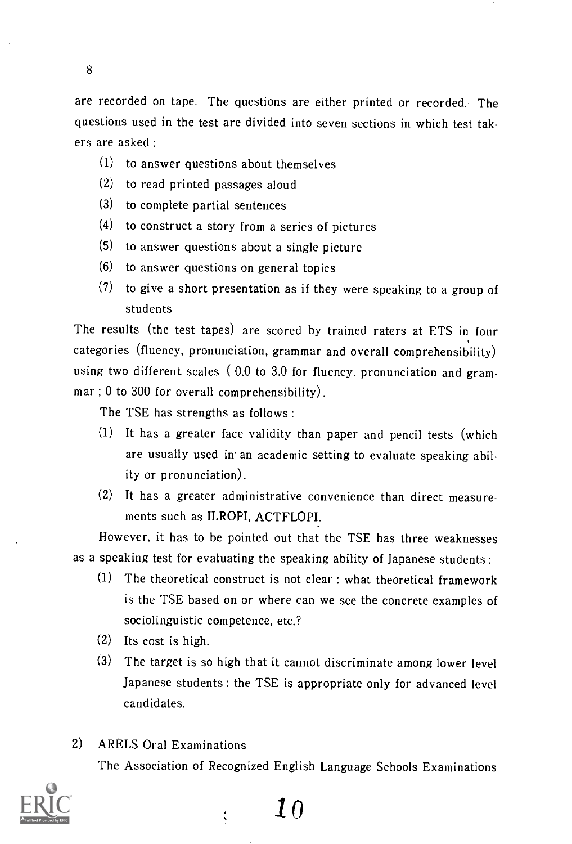are recorded on tape. The questions are either printed or recorded. The questions used in the test are divided into seven sections in which test takers are asked :

- (1) to answer questions about themselves
- (2) to read printed passages aloud
- (3) to complete partial sentences
- (4) to construct a story from a series of pictures
- (5) to answer questions about a single picture
- (6) to answer questions on general topics
- (7) to give a short presentation as if they were speaking to a group of students

The results (the test tapes) are scored by trained raters at ETS in four categories (fluency, pronunciation, grammar and overall comprehensibility) using two different scales ( 0.0 to 3.0 for fluency, pronunciation and grammar ; 0 to 300 for overall comprehensibility).

The TSE has strengths as follows :

- (1) It has a greater face validity than paper and pencil tests (which are usually used in an academic setting to evaluate speaking ability or pronunciation).
- (2) It has a greater administrative convenience than direct measurements such as ILROPI, ACTFLOPI:

However, it has to be pointed out that the TSE has three weaknesses as a speaking test for evaluating the speaking ability of Japanese students :

- (1) The theoretical construct is not clear : what theoretical framework is the TSE based on or where can we see the concrete examples of sociolinguistic competence, etc.?
- $(2)$  Its cost is high.
- The target is so high that it cannot discriminate among lower level (3) Japanese students : the TSE is appropriate only for advanced level candidates.

### 2) ARELS Oral Examinations

The Association of Recognized English Language Schools Examinations

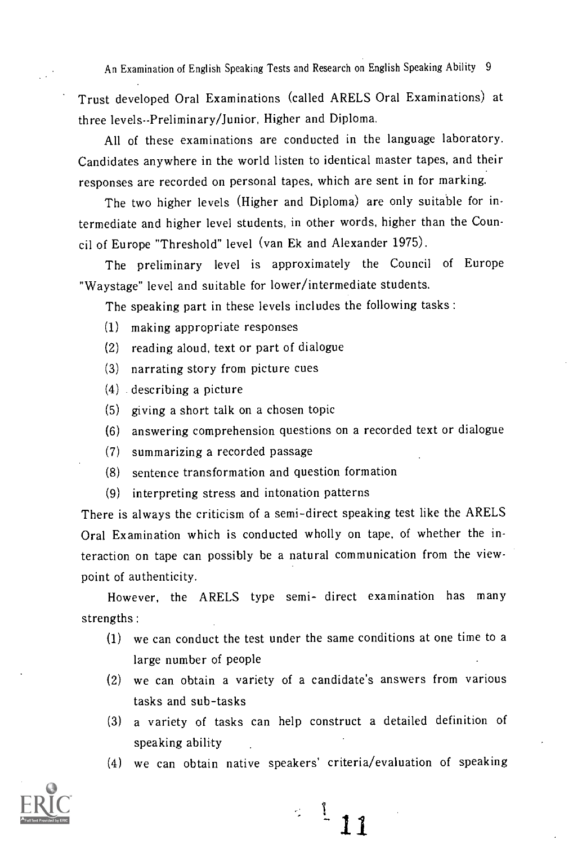Trust developed Oral Examinations (called ARELS Oral Examinations) at three levels-Preliminary/Junior, Higher and Diploma.

All of these examinations are conducted in the language laboratory. Candidates anywhere in the world listen to identical master tapes, and their responses are recorded on personal tapes, which are sent in for marking.

The two higher levels (Higher and Diploma) are only suitable for intermediate and higher level students, in other words, higher than the Council of Europe "Threshold" level (van Ek and Alexander 1975).

The preliminary level is approximately the Council of Europe "Waystage" level and suitable for lower/intermediate students.

The speaking part in these levels includes the following tasks :

- (1) making appropriate responses
- (2) reading aloud, text or part of dialogue
- (3) narrating story from picture cues
- (4) describing a picture
- (5) giving a short talk on a chosen topic
- (6) answering comprehension questions on a recorded text or dialogue
- (7) summarizing a recorded passage
- (8) sentence transformation and question formation
- (9) interpreting stress and intonation patterns

There is always the criticism of a semi-direct speaking test like the ARELS Oral Examination which is conducted wholly on tape, of whether the interaction on tape can possibly be a natural communication from the viewpoint of authenticity.

However, the ARELS type semi- direct examination has many strengths :

- (1) we can conduct the test under the same conditions at one time to a large number of people
- (2) we can obtain a variety of a candidate's answers from various tasks and sub-tasks
- (3) a variety of tasks can help construct a detailed definition of speaking ability
- (4) we can obtain native speakers' criteria/evaluation of speaking



 $\frac{1}{1}$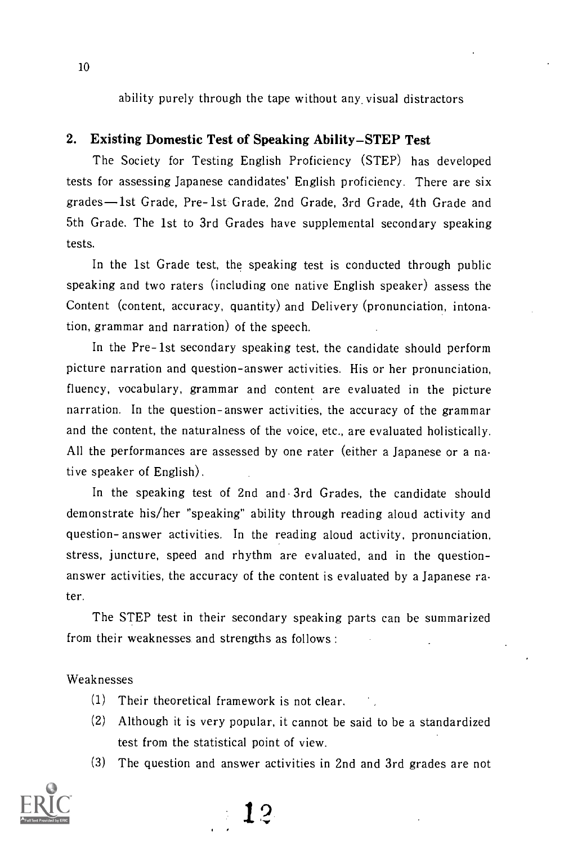ability purely through the tape without any, visual distractors

#### 2. Existing Domestic Test of Speaking Ability–STEP Test

The Society for Testing English Proficiency (STEP) has developed tests for assessing Japanese candidates' English proficiency. There are six grades-lst Grade, Pre-1st Grade, 2nd Grade, 3rd Grade, 4th Grade and 5th Grade. The 1st to 3rd Grades have supplemental secondary speaking tests.

In the 1st Grade test, the speaking test is conducted through public speaking and two raters (including one native English speaker) assess the Content (content, accuracy, quantity) and Delivery (pronunciation, intonation, grammar and narration) of the speech.

In the Pre-1st secondary speaking test, the candidate should perform picture narration and question-answer activities. His or her pronunciation, fluency, vocabulary, grammar and content are evaluated in the picture narration. In the question-answer activities, the accuracy of the grammar and the content, the naturalness of the voice, etc., are evaluated holistically. All the performances are assessed by one rater (either a Japanese or a native speaker of English).

In the speaking test of 2nd and 3rd Grades, the candidate should demonstrate his/her "speaking" ability through reading aloud activity and question- answer activities. In the reading aloud activity, pronunciation, stress, juncture, speed and rhythm are evaluated, and in the questionanswer activities, the accuracy of the content is evaluated by a Japanese rater.

The STEP test in their secondary speaking parts can be summarized from their weaknesses and strengths as follows :

#### Weaknesses

- (1) Their theoretical framework is not clear.
- (2) Although it is very popular, it cannot be said to be a standardized test from the statistical point of view.
- (3) The question and answer activities in 2nd and 3rd grades are not

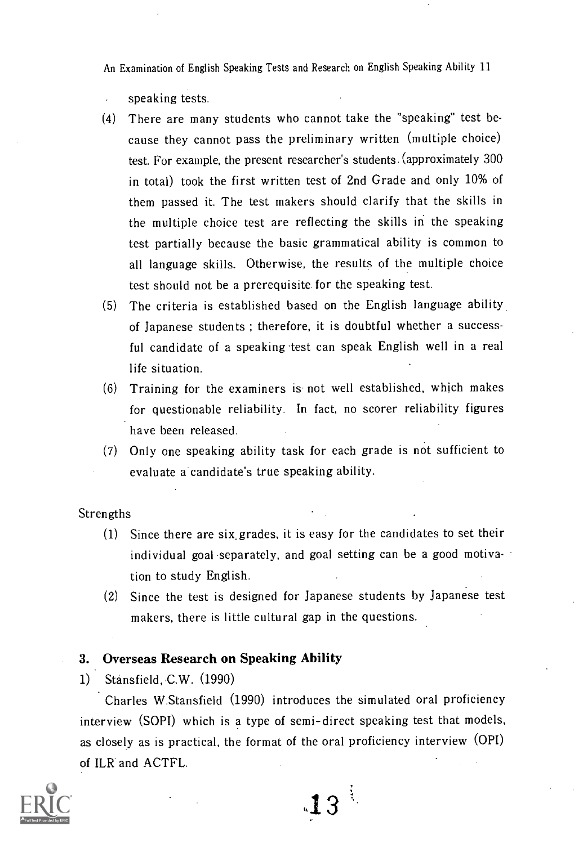- speaking tests.
- (4) There are many students who cannot take the "speaking" test because they cannot pass the preliminary written (multiple choice) test. For example, the present researcher's students.(approximately 300 in total) took the first written test of 2nd Grade and only 10% of them passed it. The test makers should clarify that the skills in the multiple choice test are reflecting the skills in the speaking test partially because the basic grammatical ability is common to all language skills. Otherwise, the results of the multiple choice test should not be a prerequisite for the speaking test.
- (5) The criteria is established based on the English language ability of Japanese students ; therefore, it is doubtful whether a successful candidate of a speaking test can speak English well in a real life situation.
- (6) Training for the examiners is. not well established, which makes for questionable reliability. In fact, no scorer reliability figures have been released.
- (7) Only one speaking ability task for each grade is not sufficient to evaluate a candidate's true speaking ability.

Strengths

- (1) Since there are six\_grades, it is easy for the candidates to set their individual goal separately, and goal setting can be a good motivation to study English.
- (2) Since the test is designed for Japanese students by Japanese test makers, there is little cultural gap in the questions.

#### 3. Overseas Research on Speaking Ability

1) Stansfield, C.W. (1990)

Charles W.Stansfield (1990) introduces the simulated oral proficiency interview (SOPI) which is a type of semi-direct speaking test that models, as closely as is practical, the format of the oral proficiency interview (OPT) of ILR and ACTFL.

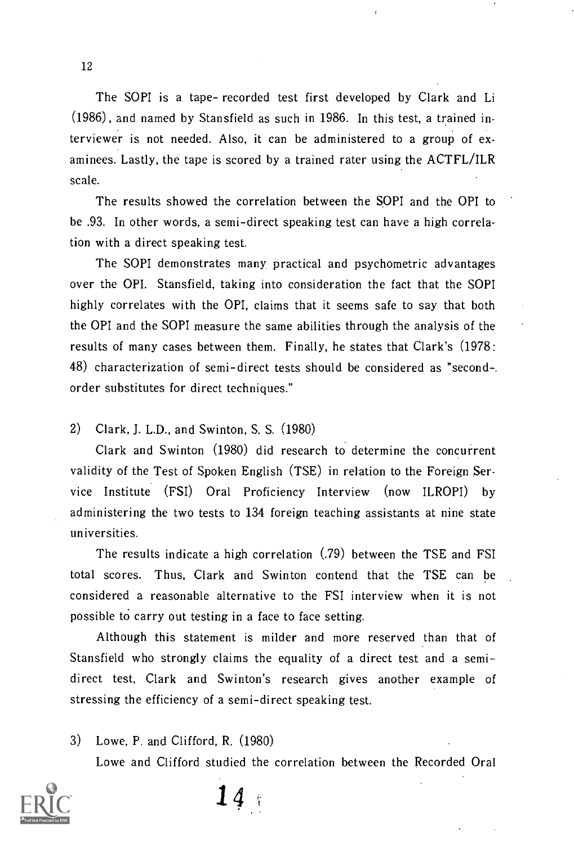The SOPI is a tape- recorded test first developed by Clark and Li (1986), and named by Stansfield as such in 1986. In this test, a trained interviewer is not needed. Also, it can be administered to a group of examinees. Lastly, the tape is scored by a trained rater using the ACTFL/ILR scale.

The results showed the correlation between the SOPI and the OPI to be .93. In other words, a semi-direct speaking test can have a high correlation with a direct speaking test.

The SOPI demonstrates many practical and psychometric advantages over the OPI. Stansfield, taking into consideration the fact that the SOPI highly correlates with the OPI, claims that it seems safe to say that both the OPI and the SOPI measure the same abilities through the analysis of the results of many cases between them. Finally, he states that Clark's (1978: 48) characterization of semi-direct tests should be considered as "second-. order substitutes for direct techniques."

2) Clark, J. L.D., and Swinton, S. S. (1980)

Clark and Swinton  $(1980)$  did research to determine the concurrent validity of the Test of Spoken English (TSE) in relation to the Foreign Service Institute (FSI) Oral Proficiency Interview (now ILROPI) by administering the two tests to 134 foreign teaching assistants at nine state universities.

The results indicate a high correlation (.79) between the TSE and FSI total scores. Thus, Clark and Swinton contend that the TSE can be considered a reasonable alternative to the FSI interview when it is not possible to carry out testing in a face to face setting.

Although this statement is milder and more reserved than that of Stansfield who strongly claims the equality of a direct test and a semidirect test, Clark and Swinton's research gives another example of stressing the efficiency of a semi-direct speaking test.

3) Lowe, P. and Clifford, R. (1980) Lowe and Clifford studied the correlation between the Recorded Oral



 $14:$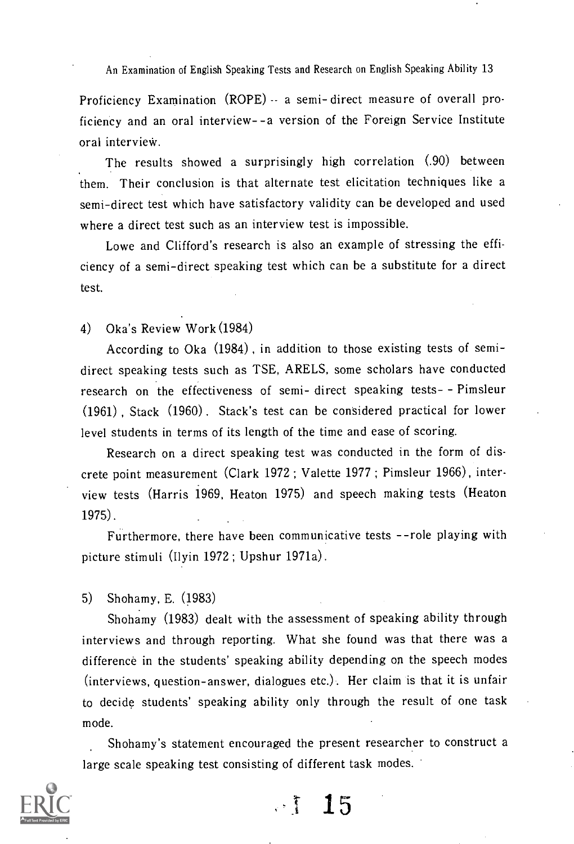Proficiency Examination (ROPE) - a semi-direct measure of overall proficiency and an oral interview- -a version of the Foreign Service Institute oral interview.

The results showed a surprisingly high correlation (.90) between them. Their conclusion is that alternate test elicitation techniques like a semi-direct test which have satisfactory validity can be developed and used where a direct test such as an interview test is impossible.

Lowe and Clifford's research is also an example of stressing the efficiency of a semi-direct speaking test which can be a substitute for a direct test.

4) Oka's Review Work (1984)

According to Oka (1984) , in addition to those existing tests of semidirect speaking tests such as TSE, ARELS, some scholars have conducted research on the effectiveness of semi- direct speaking tests- - Pimsleur (1961) , Stack (1960) . Stack's test can be considered practical for lower level students in terms of its length of the time and ease of scoring.

Research on a direct speaking test was conducted in the form of discrete point measurement (Clark 1972 ; Valette 1977 ; Pimsleur 1966), interview tests (Harris 1969, Heaton 1975) and speech making tests (Heaton 1975).

Furthermore, there have been communicative tests --role playing with picture stimuli (Ilyin 1972 ; Upshur 1971a).

5) Shohamy, E. (1983)

Shohamy (1983) dealt with the assessment of speaking ability through interviews and through reporting. What she found was that there was a difference in the students' speaking ability depending on the speech modes (interviews, question-answer, dialogues etc.). Her claim is that it is unfair to decide students' speaking ability only through the result of one task mode.

Shohamy's statement encouraged the present researcher to construct a large scale speaking test consisting of different task modes.

 $\frac{15}{15}$ 

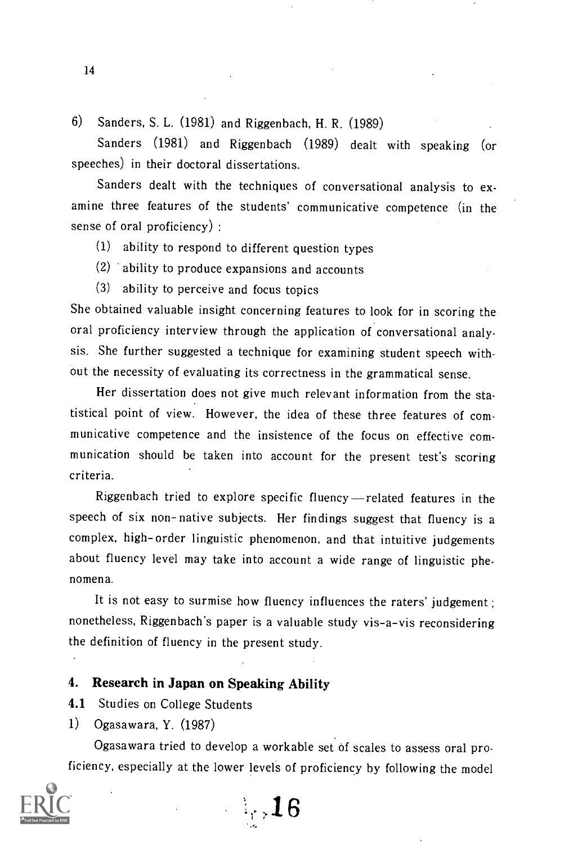6) Sanders, S. L. (1981) and Riggenbach, H. R. (1989)

Sanders (1981) and Riggenbach (1989) dealt with speaking (or speeches) in their doctoral dissertations.

Sanders dealt with the techniques of conversational analysis to examine three features of the students' communicative competence (in the sense of oral proficiency) :

(1) ability to respond to different question types

(2) ability to produce expansions and accounts

(3) ability to perceive and focus topics

She obtained valuable insight concerning features to look for in scoring the oral proficiency interview through the application of conversational analysis. She further suggested a technique for examining student speech without the necessity of evaluating its correctness in the grammatical sense.

Her dissertation does not give much relevant information from the statistical point of view. However, the idea of these three features of communicative competence and the insistence of the focus on effective communication should be taken into account for the present test's scoring criteria.

Riggenbach tried to explore specific fluency-related features in the speech of six non-native subjects. Her findings suggest that fluency is a complex, high-order linguistic phenomenon, and that intuitive judgements about fluency level may take into account a wide range of linguistic phe nomena.

It is not easy to surmise how fluency influences the raters' judgement; nonetheless, Riggenbach's paper is a valuable study vis-a-vis reconsidering the definition of fluency in the present study.

#### 4. Research in Japan on Speaking Ability

4.1 Studies on College Students

1) Ogasawara, Y. (1987)

Ogasawara tried to develop a workable set of scales to assess oral proficiency, especially at the lower levels of proficiency by following the model

 $\mathbf{16}$ 

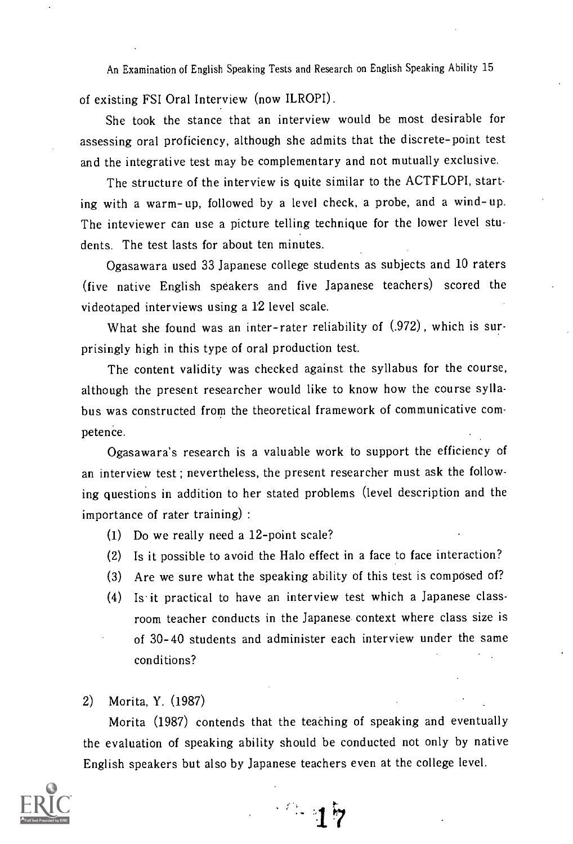of existing FSI Oral Interview (now ILROPI).

She took the stance that an interview would be most desirable for assessing oral proficiency, although she admits that the discrete-point test and the integrative test may be complementary and not mutually exclusive.

The structure of the interview is quite similar to the ACTFLOPI, starting with a warm- up, followed by a level check, a probe, and a wind- up. The inteviewer can use a picture telling technique for the lower level students. The test lasts for about ten minutes.

Ogasawara used 33 Japanese college students as subjects and 10 raters (five native English speakers and five Japanese teachers) scored the videotaped interviews using a 12 level scale.

What she found was an inter-rater reliability of  $(.972)$ , which is surprisingly high in this type of oral production test.

The content validity was checked against the syllabus for the course, although the present researcher would like to know how the course syllabus was constructed from the theoretical framework of communicative competence.

Ogasawara's research is a valuable work to support the efficiency of an interview test ; nevertheless, the present researcher must ask the following questions in addition to her stated problems (level description and the importance of rater training) :

- (1) Do we really need a 12-point scale?
- (2) Is it possible to avoid the Halo effect in a face to face interaction?
- (3) Are we sure what the speaking ability of this test is composed of?
- (4) Is it practical to have an interview test which a Japanese classroom teacher conducts in the Japanese context where class size is of 30-40 students and administer each interview under the same conditions?

#### 2) Morita, Y. (1987)

Morita (1987) contends that the teaching of speaking and eventually the evaluation of speaking ability should be conducted not only by native English speakers but also by Japanese teachers even at the college level.



 $-17$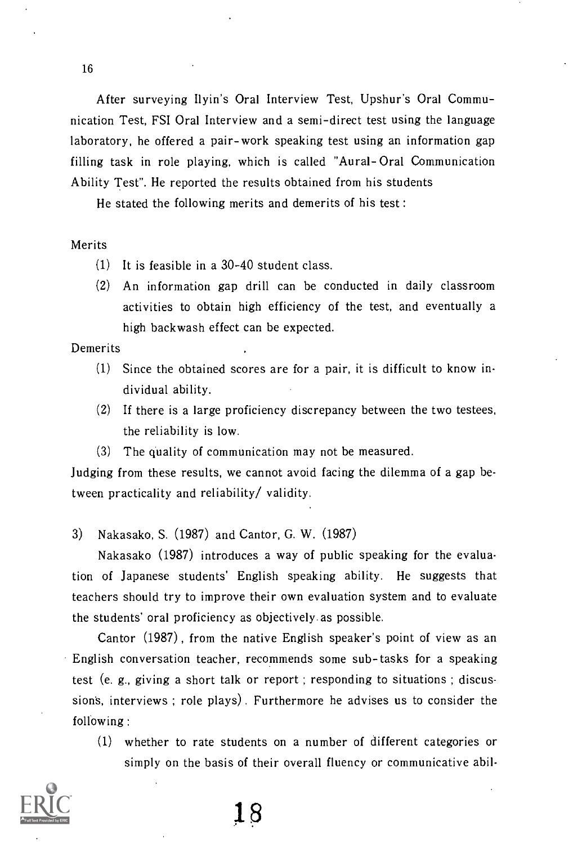After surveying Ilyin's Oral Interview Test, Upshur's Oral Communication Test, FSI Oral Interview and a semi-direct test using the language laboratory, he offered a pair-work speaking test using an information gap filling task in role playing, which is called "Aural- Oral Communication Ability Test". He reported the results obtained from his students

He stated the following merits and demerits of his test :

#### Merits

- (1) It is feasible in a 30-40 student class.
- (2) An information gap drill can be conducted in daily classroom activities to obtain high efficiency of the test, and eventually a high backwash effect can be expected.

#### Demerits

- (1) Since the obtained scores are for a pair, it is difficult to know individual ability.
- (2) If there is a large proficiency discrepancy between the two testees, the reliability is low.
- (3) The quality of communication may not be measured.

Judging from these results, we cannot avoid facing the dilemma of a gap between practicality and reliability/ validity.

3) Nakasako, S. (1987) and Cantor, G. W. (1987)

Nakasako (1987) introduces a way of public speaking for the evaluation of Japanese students' English speaking ability. He suggests that teachers should try to improve their own evaluation system and to evaluate the students' oral proficiency as objectively as possible.

Cantor (1987) , from the native English speaker's point of view as an English conversation teacher, recommends some sub-tasks for a speaking test (e. g., giving a short talk or report ; responding to situations ; discussions, interviews; role plays). Furthermore he advises us to consider the following :

(1) whether to rate students on a number of different categories or simply on the basis of their overall fluency or communicative abil-

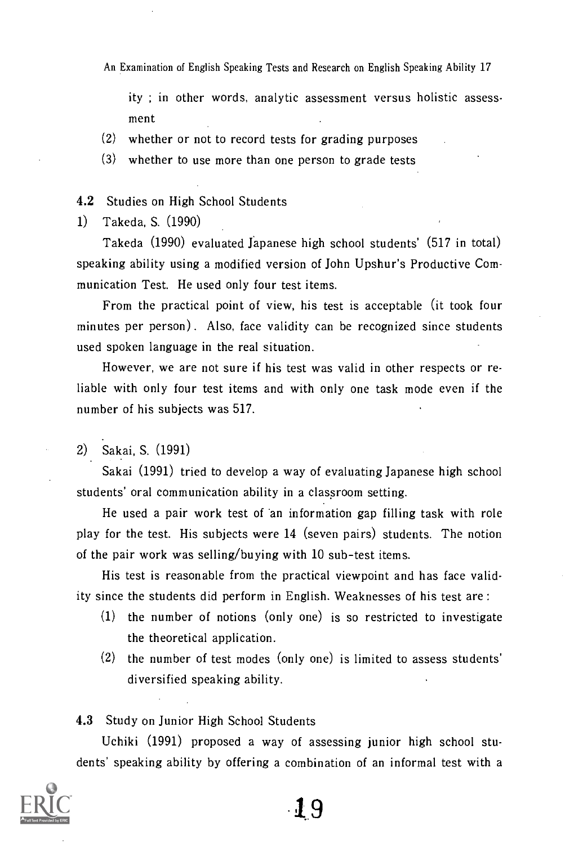ity ; in other words, analytic assessment versus holistic assessment

- (2) whether or not to record tests for grading purposes
- (3) whether to use more than one person to grade tests

#### 4.2 Studies on High School Students

1) Takeda, S. (1990)

Takeda (1990) evaluated Japanese high school students' (517 in total) speaking ability using a modified version of John Upshur's Productive Communication Test. He used only four test items.

From the practical point of view, his test is acceptable (it took four minutes per person). Also, face validity can be recognized since students used spoken language in the real situation.

However, we are not sure if his test was valid in other respects or reliable with only four test items and with only one task mode even if the number of his subjects was 517.

2) Sakai, S. (1991)

Sakai (1991) tried to develop a way of evaluating Japanese high school students' oral communication ability in a classroom setting.

He used a pair work test of an information gap filling task with role play for the test. His subjects were 14 (seven pairs) students. The notion of the pair work was selling/buying with 10 sub-test items.

His test is reasonable from the practical viewpoint and has face validity since the students did perform in English. Weaknesses of his test are :

- (1) the number of notions (only one) is so restricted to investigate the theoretical application.
- (2) the number of test modes (only one) is limited to assess students' diversified speaking ability.

#### 4.3 Study on Junior High School Students

Uchiki (1991) proposed a way of assessing junior high school students' speaking ability by offering a combination of an informal test with a

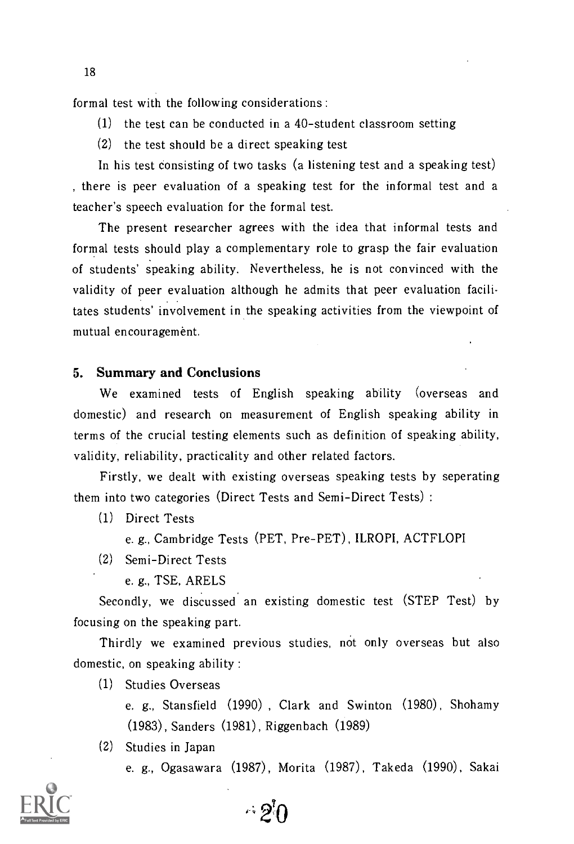formal test with the following considerations :

- (1) the test can be conducted in a 40-student classroom setting
- (2) the test should be a direct speaking test

In his test consisting of two tasks (a listening test and a speaking test) , there is peer evaluation of a speaking test for the informal test and a teacher's speech evaluation for the formal test.

The present researcher agrees with the idea that informal tests and formal tests should play a complementary role to grasp the fair evaluation of students' speaking ability. Nevertheless, he is not convinced with the validity of peer evaluation although he admits that peer evaluation facilitates students' involvement in the speaking activities from the viewpoint of mutual encouragement.

#### 5. Summary and Conclusions

We examined tests of English speaking ability (overseas and domestic) and research on measurement of English speaking ability in terms of the crucial testing elements such as definition of speaking ability, validity, reliability, practicality and other related factors.

Firstly, we dealt with existing overseas speaking tests by seperating them into two categories (Direct Tests and Semi-Direct Tests) :

- (1) Direct Tests
	- e. g., Cambridge Tests (PET, Pre-PET), ILROPI, ACTFLOPI
- (2) Semi-Direct Tests
	- e. g., TSE, ARELS

Secondly, we discussed an existing domestic test (STEP Test) by focusing on the speaking part.

Thirdly we examined previous studies, not only overseas but also domestic, on speaking ability :

 $\cdot \cdot$  9 $\cap$ 

(1) Studies Overseas

e. g., Stansfield (1990) , Clark and Swinton (1980), Shohamy (1983), Sanders (1981), Riggenbach (1989)

(2) Studies in Japan

e. g., Ogasawara (1987), Morita (1987), Takeda (1990), Sakai

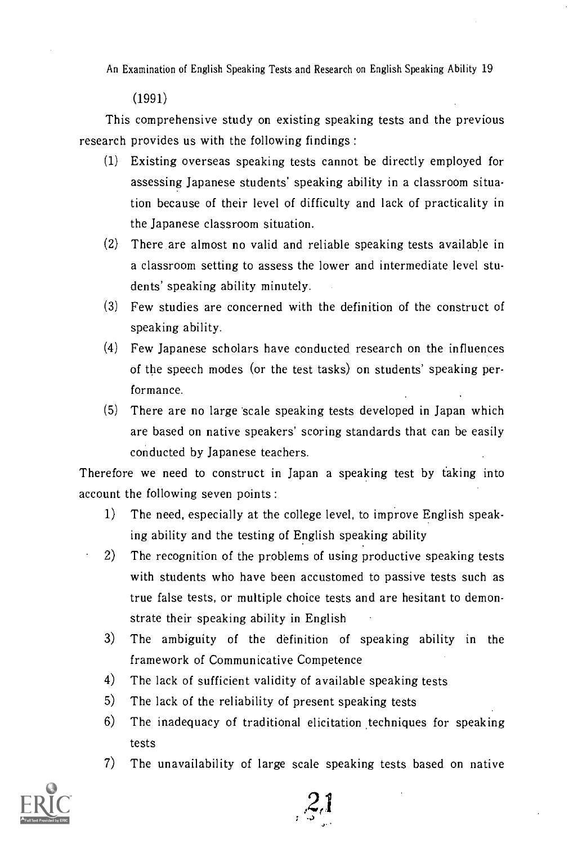(1991)

This comprehensive study on existing speaking tests and the previous research provides us with the following findings :

- (1) Existing overseas speaking tests cannot be directly employed for assessing Japanese students' speaking ability in a classroom situation because of their level of difficulty and lack of practicality in the Japanese classroom situation.
- (2) There are almost no valid and reliable speaking tests available in a classroom setting to assess the lower and intermediate level students' speaking ability minutely.
- (3) Few studies are concerned with the definition of the construct of speaking ability.
- (4) Few Japanese scholars have conducted research on the influences of the speech modes (or the test tasks) on students' speaking performance.
- (5) There are no large scale speaking tests developed in Japan which are based on native speakers' scoring standards that can be easily conducted by Japanese teachers.

Therefore we need to construct in Japan a speaking test by taking into account the following seven points :

- 1) The need, especially at the college level, to improve English speaking ability and the testing of English speaking ability
- 2) The recognition of the problems of using productive speaking tests with students who have been accustomed to passive tests such as true false tests, or multiple choice tests and are hesitant to demonstrate their speaking ability in English
- 3) The ambiguity of the definition of speaking ability in the framework of Communicative Competence
- 4) The lack of sufficient validity of available speaking tests
- 5) The lack of the reliability of present speaking tests
- $6$ ) The inadequacy of traditional elicitation techniques for speaking tests
- 7) The unavailability of large scale speaking tests based on native

 $3.1$ 

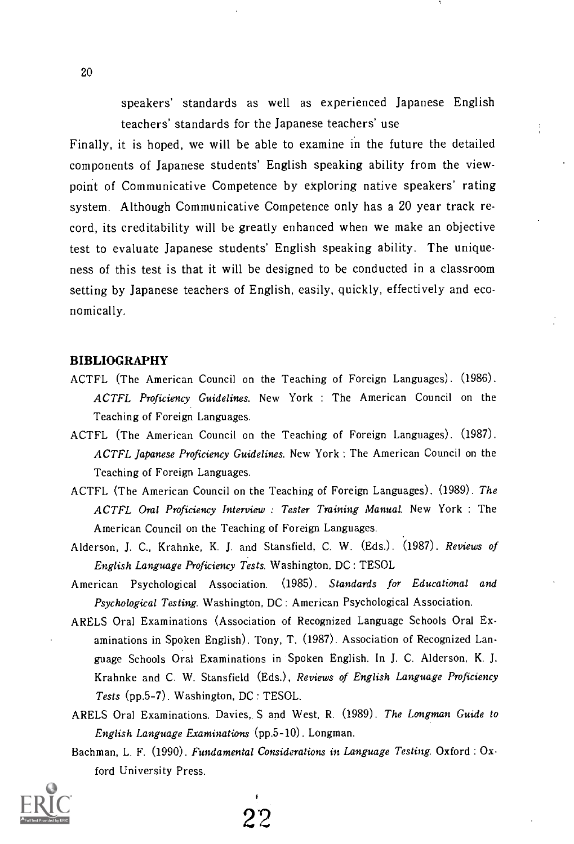speakers' standards as well as experienced Japanese English teachers' standards for the Japanese teachers' use

Finally, it is hoped, we will be able to examine in the future the detailed components of Japanese students' English speaking ability from the viewpoint of Communicative Competence by exploring native speakers' rating system. Although Communicative Competence only has a 20 year track record, its creditability will be greatly enhanced when we make an objective test to evaluate Japanese students' English speaking ability. The uniqueness of this test is that it will be designed to be conducted in a classroom setting by Japanese teachers of English, easily, quickly, effectively and economically.

#### BIBLIOGRAPHY

- ACTFL (The American Council on the Teaching of Foreign Languages). (1986). ACTFL Proficiency Guidelines. New York : The American Council on the Teaching of Foreign Languages.
- ACTFL (The American Council on the Teaching of Foreign Languages). (1987). ACTFL Japanese Proficiency Guidelines. New York : The American Council on the Teaching of Foreign Languages.
- ACTFL (The American Council on the Teaching of Foreign Languages). (1989). The ACTFL Oral Proficiency Interview : Tester Training Manual. New York : The American Council on the Teaching of Foreign Languages.
- Alderson, J. C., Krahnke, K. J. and Stansfield, C. W. (Eds.). (1987). Reviews of English Language Proficiency Tests. Washington, DC: TESOL
- American Psychological Association. (1985). Standards for Educational and Psychological Testing. Washington, DC: American Psychological Association.
- ARELS Oral Examinations (Association of Recognized Language Schools Oral Examinations in Spoken English). Tony, T. (1987). Association of Recognized Language Schools Oral Examinations in Spoken English. In J. C. Alderson, K. J. Krahnke and C. W. Stansfield (Eds.), Reviews of English Language Proficiency Tests (pp.5-7). Washington, DC: TESOL.
- ARELS Oral Examinations. Davies, S and West, R. (1989). The Longman Guide to English Language Examinations (pp.5-10). Longman.
- Bachman, L. F. (1990). Fundamental Considerations in Language Testing. Oxford : Oxford University Press.

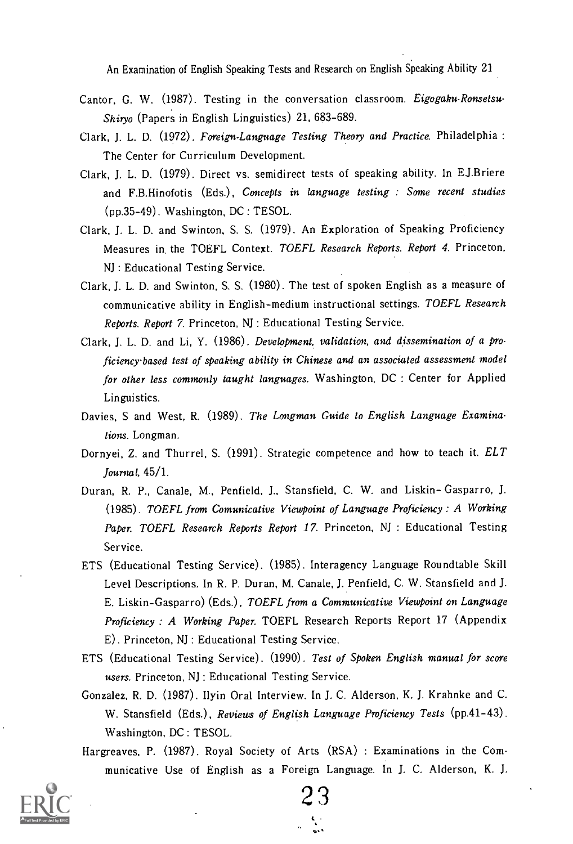- Cantor, G. W. (1987). Testing in the conversation classroom. Eigogaku-Ronsetsu-Shiryo (Papers in English Linguistics) 21, 683-689.
- Clark, J. L. D. (1972). Foreign-Language Testing Theory and Practice. Philadelphia : The Center for Curriculum Development.
- Clark, J. L. D. (1979). Direct vs. semidirect tests of speaking ability. In EJ.Briere and F.B.Hinofotis (Eds.), Concepts in language testing : Some recent studies (pp.35-49). Washington, DC: TESOL.
- Clark, J. L. D. and Swinton, S. S. (1979). An Exploration of Speaking Proficiency Measures in the TOEFL Context. TOEFL Research Reports. Report 4. Princeton, NJ : Educational Testing Service.
- Clark, J. L. D. and Swinton, S. S. (1980). The test of spoken English as a measure of communicative ability in English-medium instructional settings. TOEFL Research Reports. Report 7. Princeton, NJ : Educational Testing Service.
- Clark, J. L. D. and Li, Y. (1986). Development, validation, and dissemination of a proficiency-based test of speaking ability in Chinese and an associated assessment model for other less commonly taught languages. Washington, DC : Center for Applied Linguistics.
- Davies, S and West, R. (1989). The Longman Guide to English Language Examinations. Longman.
- Dornyei, Z. and Thurrel, S. (1991). Strategic competence and how to teach it. ELT Journal, 45/1.
- Duran, R. P., Canale, M., Penfield, J., Stansfield, C. W. and Liskin- Gasparro, J. (1985). TOEFL from Comunicative Viewpoint of Language Proficiency : A Working Paper. TOEFL Research Reports Report 17. Princeton, NJ : Educational Testing Service.
- ETS (Educational Testing Service). (1985). Interagency Language Roundtable Skill Level Descriptions. In R. P. Duran, M. Canale, J. Penfield, C. W. Stansfield and J. E. Liskin-Gasparro) (Eds.), TOEFL from a Communicative Viewpoint on Language Proficiency : A Working Paper. TOEFL Research Reports Report 17 (Appendix E). Princeton, NJ : Educational Testing Service.
- ETS (Educational Testing Service). (1990). Test of Spoken English manual for score users. Princeton, NJ : Educational Testing Service.
- Gonzalez, R. D. (1987). Ilyin Oral Interview. In J. C. Alderson, K. J. Krahnke and C. W. Stansfield (Eds.), Reviews of English Language Proficiency Tests (pp.41-43). Washington, DC: TESOL.
- Hargreaves, P. (1987). Royal Society of Arts (RSA) : Examinations in the Communicative Use of English as a Foreign Language. In J. C. Alderson, K. J.



2 3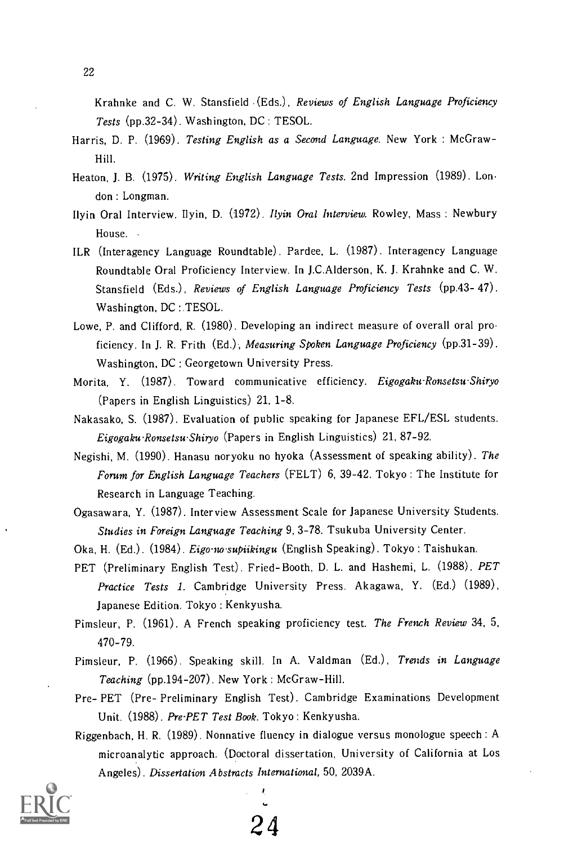Krahnke and C. W. Stansfield (Eds.), Reviews of English Language Proficiency Tests (pp.32-34). Washington, DC: TESOL.

- Harris, D. P. (1969). Testing English as a Second Language. New York : McGraw-Hill.
- Heaton, J. B. (1975). Writing English Language Tests. 2nd Impression (1989). London : Longman.
- Ilyin Oral Interview. Ilyin, D. (1972). Ilyin Oral Interview. Rowley, Mass: Newbury House.
- ILR (Interagency Language Roundtable). Pardee, L. (1987). Interagency Language Roundtable Oral Proficiency Interview. In J.C.Alderson, K. J. Krahnke and C. W. Stansfield (Eds.), Reviews of English Language Proficiency Tests (pp.43-47). Washington, DC:.TESOL.
- Lowe, P. and Clifford, R. (1980). Developing an indirect measure of overall oral proficiency. In J. R. Frith (Ed.), Measuring Spoken Language Proficiency (pp.31-39). Washington, DC: Georgetown University Press.
- Morita, Y. (1987). Toward communicative efficiency. Eigogaku-Ronsetsu-Shiryo (Papers in English Linguistics) 21, 1-8.
- Nakasako, S. (1987). Evaluation of public speaking for Japanese EFL/ESL students. Eigogaku-Ronsetsu-Shiryo (Papers in English Linguistics) 21, 87-92.
- Negishi, M. (1990). Hanasu noryoku no hyoka (Assessment of speaking ability). The Forum for English Language Teachers (FELT) 6, 39-42. Tokyo : The Institute for Research in Language Teaching.
- Ogasawara, Y. (1987). Interview Assessment Scale for Japanese University Students. Studies in Foreign Language Teaching 9, 3-78. Tsukuba University Center.
- Oka, H. (Ed.). (1984). Eigo-no-supiikingu (English Speaking). Tokyo: Taishukan.
- PET (Preliminary English Test). Fried-Booth, D. L. and Hashemi, L. (1988). PET Practice Tests 1. Cambridge University Press. Akagawa, Y. (Ed.) (1989), Japanese Edition. Tokyo : Kenkyusha.
- Pimsleur, P. (1961). A French speaking proficiency test. The French Review 34, 5, 470-79.
- Pimsleur, P. (1966). Speaking skill. In A. Valdman (Ed.), Trends in Language Teaching (pp.194-207). New York : McGraw-Hill.
- Pre- PET (Pre- Preliminary English Test). Cambridge Examinations Development Unit. (1988). Pre-PET Test Book. Tokyo : Kenkyusha.
- Riggenbach, H. R. (1989). Normative fluency in dialogue versus monologue speech : A microanalytic approach. (Doctoral dissertation, University of California at Los Angeles). Dissertation Abstracts International, 50, 2039A.



2 4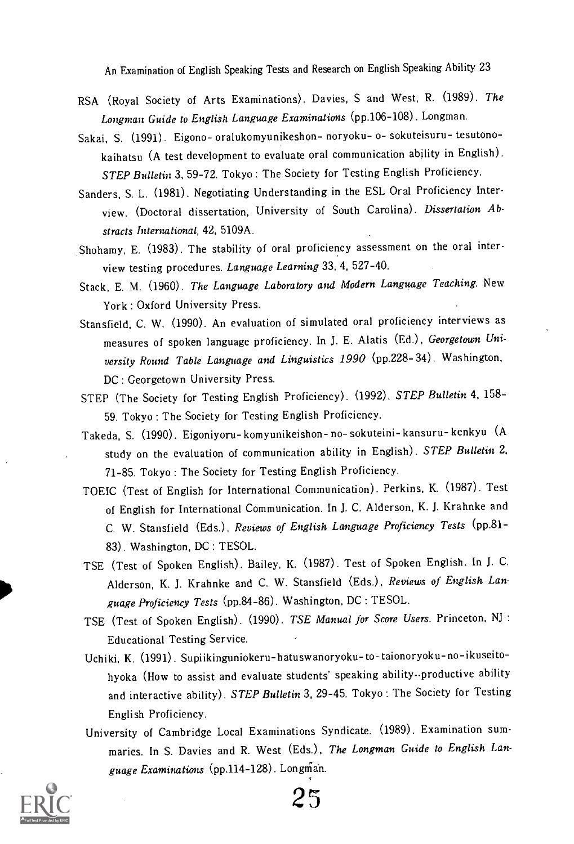- RSA (Royal Society of Arts Examinations). Davies, S and West, R. (1989). The Longman Guide to English Language Examinations (pp.106-108). Longman.
- Sakai, S. (1991). Eigono- oralukomyunikeshon- noryoku- o- sokuteisuru- tesutonokaihatsu (A test development to evaluate oral communication ability in English). STEP Bulletin 3, 59-72. Tokyo : The Society for Testing English Proficiency.
- Sanders, S. L. (1981). Negotiating Understanding in the ESL Oral Proficiency Interview. (Doctoral dissertation, University of South Carolina). Dissertation Abstracts International, 42, 5109A.
- Shohamy, E. (1983). The stability of oral proficiency assessment on the oral interview testing procedures. Language Learning 33, 4, 527-40.
- Stack, E. M. (1960). The Language Laboratory and Modern Language Teaching. New York : Oxford University Press.
- Stansfield, C. W. (1990). An evaluation of simulated oral proficiency interviews as measures of spoken language proficiency. In J. E. Alatis (Ed.), Georgetown University Round Table Language and Linguistics 1990 (pp.228- 34). Washington, DC: Georgetown University Press.
- STEP (The Society for Testing English Proficiency). (1992). STEP Bulletin 4, 158- 59. Tokyo : The Society for Testing English Proficiency.
- Takeda, S. (1990). Eigoniyoru- komyunikeishon- no- sokuteini- kansuru- kenkyu (A study on the evaluation of communication ability in English). STEP Bulletin 2, 71-85. Tokyo : The Society for Testing English Proficiency.
- TOEIC (Test of English for International Communication). Perkins, K. (1987). Test of English for International Communication. In J. C. Alderson, K. J. Krahnke and C. W. Stansfield (Eds.), Reviews of English Language Proficiency Tests (pp.81- 83). Washington, DC: TESOL.
- TSE (Test of Spoken English). Bailey, K. (1987). Test of Spoken English. In J. C. Alderson, K. J. Krahnke and C. W. Stansfield (Eds.), Reviews of English Language Proficiency Tests (pp.84-86). Washington, DC: TESOL.
- TSE (Test of Spoken English). (1990). TSE Manual for Score Users. Princeton, NJ : Educational Testing Service.
- Uchiki, K. (1991). Supiikinguniokeru-hatuswanoryoku- to-taionoryoku-no-ikuseitohyoka (How to assist and evaluate students' speaking ability--productive ability and interactive ability). STEP Bulletin 3, 29-45. Tokyo: The Society for Testing English Proficiency.
- University of Cambridge Local Examinations Syndicate. (1989). Examination summaries. In S. Davies and R. West (Eds.), The Longman Guide to English Language Examinations (pp.114-128). Longman.



25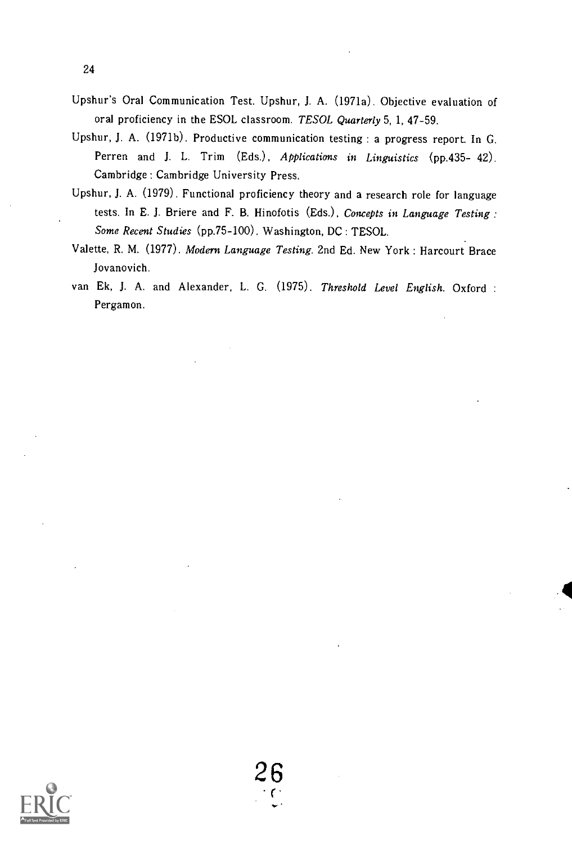- Upshur's Oral Communication Test. Upshur, J. A. (1971a). Objective evaluation of oral proficiency in the ESOL classroom. TESOL Quarterly 5, 1, 47-59.
- Upshur, J. A. (1971b). Productive communication testing : a progress report. In G. Perren and J. L. Trim (Eds.), Applications in Linguistics (pp.435- 42). Cambridge : Cambridge University Press.
- Upshur, J. A. (1979). Functional proficiency theory and a research role for language tests. In E. J. Briere and F. B. Hinofotis (Eds.), Concepts in Language Testing : Some Recent Studies (pp.75-100). Washington, DC: TESOL.
- Valette, R. M. (1977). Modern Language Testing. 2nd Ed. New York : Harcourt Brace Jovanovich.
- van Ek, J. A. and Alexander, L. G. (1975). Threshold Level English. Oxford : Pergamon.

24

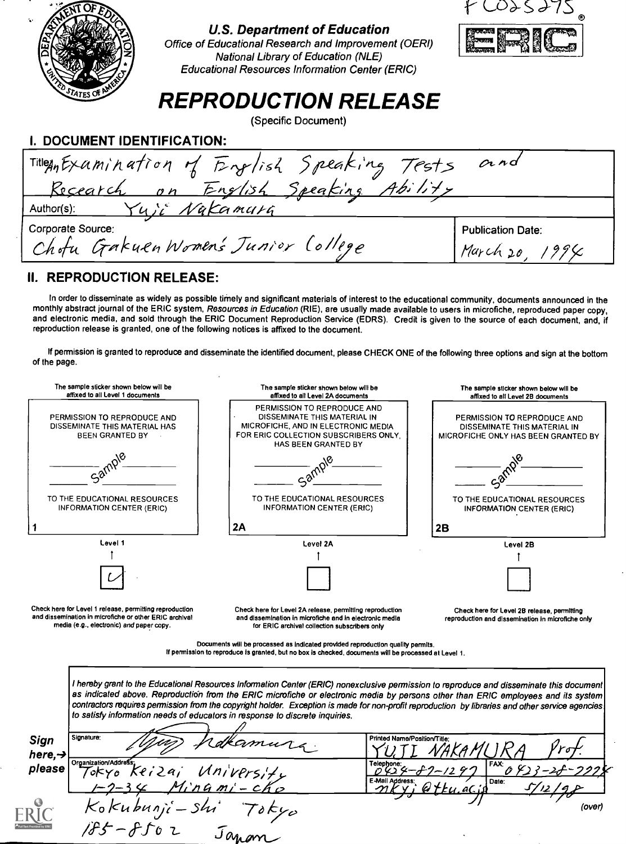

### II. REPRODUCTION RELEASE:

In order to disseminate as widely as possible timely and significant materials of interest to the educational community, documents announced in the monthly abstract journal of the ERIC system, Resources in Education (RIE), are usually made available to users in microfiche, reproduced paper copy, and electronic media, and sold through the ERIC Document Reproduction Service (EDRS). Credit is given to the source of each document, and, if reproduction release is granted, one of the following notices is affixed to the document.

If permission is granted to reproduce and disseminate the identified document, please CHECK ONE of the following three options and sign at the bottom of the page.



Documents will be processed as Indicated provided reproduction quality permits. If permission to reproduce is granted, but no box is checked, documents will be processed at Level 1.

I hereby grant to the Educational Resources Information Center (ERIC) nonexclusive permission to reproduce and disseminate this document as indicated above. Reproductión from the ERIC microfiche or electronic media by persons other than ERIC employees and its system contractors requires permission from the copyright holder. Exception is made for non-profit reproduction by libraries and other service agencies to satisfy information needs of educators in response to discrete inquiries. Sian Signature:  $here, \rightarrow$   $ere, \rightarrow$  Organization/Address please organization/Address:<br>please  $7$ okyo ke i 2 a j  $\left(Mn\right)VPS_1/\left(\frac{1}{2}\right)$ Printed Name/Position/Title: <u>ruti NAKAMURA Prof.</u> Telephone:<br>
D 42 4 - 8 7 - 12 9 7 FAX: 0 42 3 - 28 - 29 28<br>E-Mail Address: 0 11

(over)

 $-34$  Minami-ch

Kokubunji-shi Toky

 $4f-f$  $f_0$   $\tau$ 

 $J_{OM,am}$